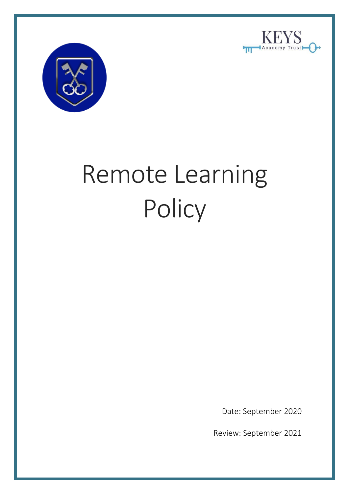



# Remote Learning **Policy**

Date: September 2020

Review: September 2021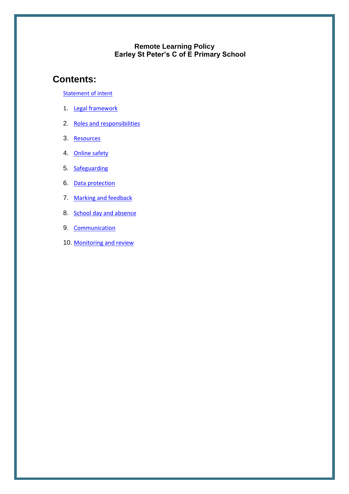#### **Remote Learning Policy Earley St Peter's C of E Primary School**

### **Contents:**

[Statement of intent](#page-2-0)

- 1. [Legal framework](#page-3-0)
- 2. [Roles and responsibilities](#page-4-0)
- 3. [Resources](#page-6-0)
- 4. [Online safety](#page-8-0)
- 5. [Safeguarding](#page-9-0)
- 6. [Data protection](#page-9-1)
- 7. Marking and feedback
- 8. [School day and absence](#page-10-0)
- 9. [Communication](#page-11-0)
- 10. [Monitoring and review](#page-11-1)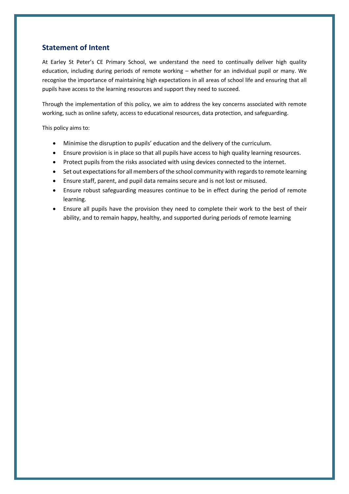#### <span id="page-2-0"></span>**Statement of Intent**

At Earley St Peter's CE Primary School, we understand the need to continually deliver high quality education, including during periods of remote working – whether for an individual pupil or many. We recognise the importance of maintaining high expectations in all areas of school life and ensuring that all pupils have access to the learning resources and support they need to succeed.

Through the implementation of this policy, we aim to address the key concerns associated with remote working, such as online safety, access to educational resources, data protection, and safeguarding.

This policy aims to:

- Minimise the disruption to pupils' education and the delivery of the curriculum.
- Ensure provision is in place so that all pupils have access to high quality learning resources.
- Protect pupils from the risks associated with using devices connected to the internet.
- Set out expectations for all members of the school community with regards to remote learning
- Ensure staff, parent, and pupil data remains secure and is not lost or misused.
- Ensure robust safeguarding measures continue to be in effect during the period of remote learning.
- Ensure all pupils have the provision they need to complete their work to the best of their ability, and to remain happy, healthy, and supported during periods of remote learning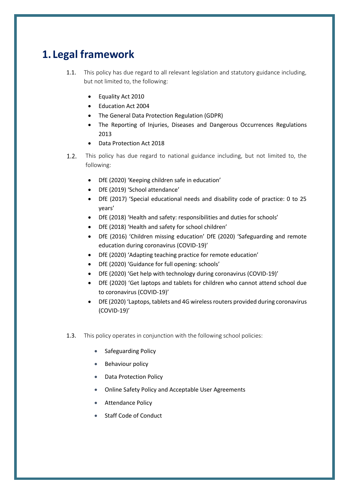# <span id="page-3-0"></span>**1. Legal framework**

- 1.1. This policy has due regard to all relevant legislation and statutory guidance including, but not limited to, the following:
	- Equality Act 2010
	- Education Act 2004
	- The General Data Protection Regulation (GDPR)
	- The Reporting of Injuries, Diseases and Dangerous Occurrences Regulations 2013
	- Data Protection Act 2018
- This policy has due regard to national guidance including, but not limited to, the  $1.2.$ following:
	- DfE (2020) 'Keeping children safe in education'
	- DfE (2019) 'School attendance'
	- DfE (2017) 'Special educational needs and disability code of practice: 0 to 25 years'
	- DfE (2018) 'Health and safety: responsibilities and duties for schools'
	- DfE (2018) 'Health and safety for school children'
	- DfE (2016) 'Children missing education' DfE (2020) 'Safeguarding and remote education during coronavirus (COVID-19)'
	- DfE (2020) 'Adapting teaching practice for remote education'
	- DfE (2020) 'Guidance for full opening: schools'
	- DfE (2020) 'Get help with technology during coronavirus (COVID-19)'
	- DfE (2020) 'Get laptops and tablets for children who cannot attend school due to coronavirus (COVID-19)'
	- DfE (2020) 'Laptops, tablets and 4G wireless routers provided during coronavirus (COVID-19)'
- 1.3. This policy operates in conjunction with the following school policies:
	- Safeguarding Policy
	- Behaviour policy
	- **Data Protection Policy**
	- Online Safety Policy and Acceptable User Agreements
	- Attendance Policy
	- Staff Code of Conduct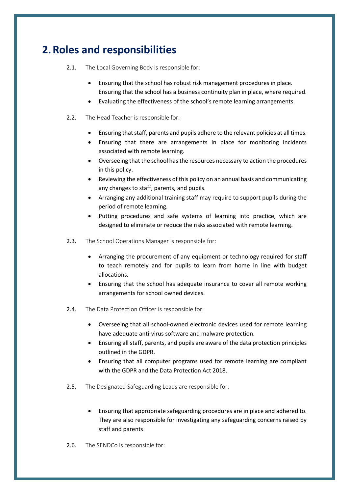# <span id="page-4-0"></span>**2.Roles and responsibilities**

2.1. The Local Governing Body is responsible for:

- Ensuring that the school has robust risk management procedures in place. Ensuring that the school has a business continuity plan in place, where required.
- Evaluating the effectiveness of the school's remote learning arrangements.
- 2.2. The Head Teacher is responsible for:
	- Ensuring that staff, parents and pupils adhere to the relevant policies at all times.
	- Ensuring that there are arrangements in place for monitoring incidents associated with remote learning.
	- Overseeing that the school has the resources necessary to action the procedures in this policy.
	- Reviewing the effectiveness of this policy on an annual basis and communicating any changes to staff, parents, and pupils.
	- Arranging any additional training staff may require to support pupils during the period of remote learning.
	- Putting procedures and safe systems of learning into practice, which are designed to eliminate or reduce the risks associated with remote learning.
- 2.3. The School Operations Manager is responsible for:
	- Arranging the procurement of any equipment or technology required for staff to teach remotely and for pupils to learn from home in line with budget allocations.
	- Ensuring that the school has adequate insurance to cover all remote working arrangements for school owned devices.
- 2.4. The Data Protection Officer is responsible for:
	- Overseeing that all school-owned electronic devices used for remote learning have adequate anti-virus software and malware protection.
	- Ensuring all staff, parents, and pupils are aware of the data protection principles outlined in the GDPR.
	- Ensuring that all computer programs used for remote learning are compliant with the GDPR and the Data Protection Act 2018.
- 2.5. The Designated Safeguarding Leads are responsible for:
	- Ensuring that appropriate safeguarding procedures are in place and adhered to. They are also responsible for investigating any safeguarding concerns raised by staff and parents
- 2.6. The SENDCo is responsible for: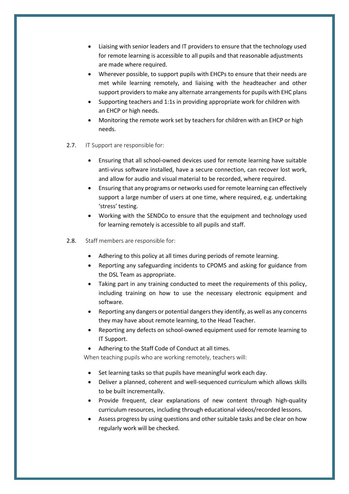- Liaising with senior leaders and IT providers to ensure that the technology used for remote learning is accessible to all pupils and that reasonable adjustments are made where required.
- Wherever possible, to support pupils with EHCPs to ensure that their needs are met while learning remotely, and liaising with the headteacher and other support providers to make any alternate arrangements for pupils with EHC plans
- Supporting teachers and 1:1s in providing appropriate work for children with an EHCP or high needs.
- Monitoring the remote work set by teachers for children with an EHCP or high needs.
- 2.7. IT Support are responsible for:
	- Ensuring that all school-owned devices used for remote learning have suitable anti-virus software installed, have a secure connection, can recover lost work, and allow for audio and visual material to be recorded, where required.
	- Ensuring that any programs or networks used for remote learning can effectively support a large number of users at one time, where required, e.g. undertaking 'stress' testing.
	- Working with the SENDCo to ensure that the equipment and technology used for learning remotely is accessible to all pupils and staff.
- 2.8. Staff members are responsible for:
	- Adhering to this policy at all times during periods of remote learning.
	- Reporting any safeguarding incidents to CPOMS and asking for guidance from the DSL Team as appropriate.
	- Taking part in any training conducted to meet the requirements of this policy, including training on how to use the necessary electronic equipment and software.
	- Reporting any dangers or potential dangers they identify, as well as any concerns they may have about remote learning, to the Head Teacher.
	- Reporting any defects on school-owned equipment used for remote learning to IT Support.
	- Adhering to the Staff Code of Conduct at all times.

When teaching pupils who are working remotely, teachers will:

- Set learning tasks so that pupils have meaningful work each day.
- Deliver a planned, coherent and well-sequenced curriculum which allows skills to be built incrementally.
- Provide frequent, clear explanations of new content through high-quality curriculum resources, including through educational videos/recorded lessons.
- Assess progress by using questions and other suitable tasks and be clear on how regularly work will be checked.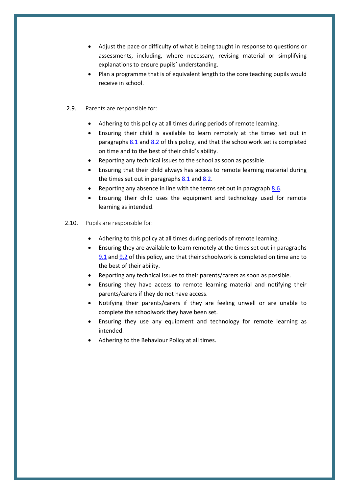- Adjust the pace or difficulty of what is being taught in response to questions or assessments, including, where necessary, revising material or simplifying explanations to ensure pupils' understanding.
- Plan a programme that is of equivalent length to the core teaching pupils would receive in school.
- 2.9. Parents are responsible for:
	- Adhering to this policy at all times during periods of remote learning.
	- Ensuring their child is available to learn remotely at the times set out in paragraphs [8.1](#page-10-1) and [8.2](#page-10-2) of this policy, and that the schoolwork set is completed on time and to the best of their child's ability.
	- Reporting any technical issues to the school as soon as possible.
	- Ensuring that their child always has access to remote learning material during the times set out in paragraphs [8.1](#page-10-1) and [8.2.](#page-10-2)
	- Reporting any absence in line with the terms set out in paragraph [8.6.](#page-10-3)
	- Ensuring their child uses the equipment and technology used for remote learning as intended.
- <span id="page-6-0"></span>2.10. Pupils are responsible for:
	- Adhering to this policy at all times during periods of remote learning.
	- Ensuring they are available to learn remotely at the times set out in paragraphs [9.1](#page-10-1) an[d 9.2](#page-10-2) of this policy, and that their schoolwork is completed on time and to the best of their ability.
	- Reporting any technical issues to their parents/carers as soon as possible.
	- Ensuring they have access to remote learning material and notifying their parents/carers if they do not have access.
	- Notifying their parents/carers if they are feeling unwell or are unable to complete the schoolwork they have been set.
	- Ensuring they use any equipment and technology for remote learning as intended.
	- Adhering to the Behaviour Policy at all times.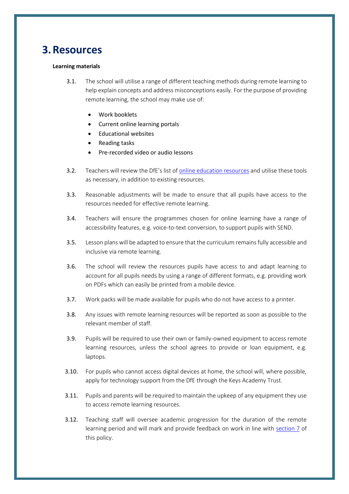## **3.Resources**

#### **Learning materials**

- 3.1. The school will utilise a range of different teaching methods during remote learning to help explain concepts and address misconceptions easily. For the purpose of providing remote learning, the school may make use of:
	- Work booklets
	- Current online learning portals
	- Educational websites
	- Reading tasks
	- Pre-recorded video or audio lessons
- 3.2. Teachers will review the DfE's list of [online education resources](https://www.gov.uk/government/publications/coronavirus-covid-19-online-education-resources) and utilise these tools as necessary, in addition to existing resources.
- 3.3. Reasonable adjustments will be made to ensure that all pupils have access to the resources needed for effective remote learning.
- 3.4. Teachers will ensure the programmes chosen for online learning have a range of accessibility features, e.g. voice-to-text conversion, to support pupils with SEND.
- 3.5. Lesson plans will be adapted to ensure that the curriculum remains fully accessible and inclusive via remote learning.
- 3.6. The school will review the resources pupils have access to and adapt learning to account for all pupils needs by using a range of different formats, e.g. providing work on PDFs which can easily be printed from a mobile device.
- 3.7. Work packs will be made available for pupils who do not have access to a printer.
- 3.8. Any issues with remote learning resources will be reported as soon as possible to the relevant member of staff.
- 3.9. Pupils will be required to use their own or family-owned equipment to access remote learning resources, unless the school agrees to provide or loan equipment, e.g. laptops.
- 3.10. For pupils who cannot access digital devices at home, the school will, where possible, apply for technology support from the DfE through the Keys Academy Trust.
- 3.11. Pupils and parents will be required to maintain the upkeep of any equipment they use to access remote learning resources.
- 3.12. Teaching staff will oversee academic progression for the duration of the remote learning period and will mark and provide feedback on work in line with section 7 of this policy.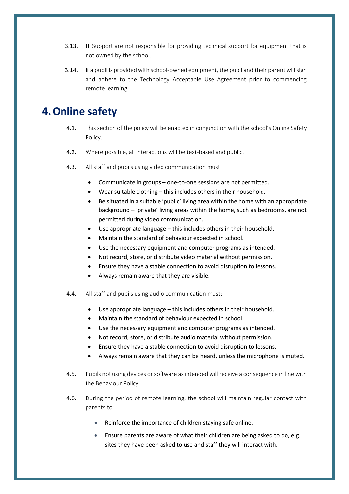- 3.13. IT Support are not responsible for providing technical support for equipment that is not owned by the school.
- 3.14. If a pupil is provided with school-owned equipment, the pupil and their parent will sign and adhere to the Technology Acceptable Use Agreement prior to commencing remote learning.

## <span id="page-8-0"></span>**4.Online safety**

- 4.1. This section of the policy will be enacted in conjunction with the school's Online Safety Policy.
- 4.2. Where possible, all interactions will be text-based and public.
- 4.3. All staff and pupils using video communication must:
	- Communicate in groups one-to-one sessions are not permitted.
	- Wear suitable clothing this includes others in their household.
	- Be situated in a suitable 'public' living area within the home with an appropriate background – 'private' living areas within the home, such as bedrooms, are not permitted during video communication.
	- Use appropriate language this includes others in their household.
	- Maintain the standard of behaviour expected in school.
	- Use the necessary equipment and computer programs as intended.
	- Not record, store, or distribute video material without permission.
	- Ensure they have a stable connection to avoid disruption to lessons.
	- Always remain aware that they are visible.
- 4.4. All staff and pupils using audio communication must:
	- Use appropriate language this includes others in their household.
	- Maintain the standard of behaviour expected in school.
	- Use the necessary equipment and computer programs as intended.
	- Not record, store, or distribute audio material without permission.
	- Ensure they have a stable connection to avoid disruption to lessons.
	- Always remain aware that they can be heard, unless the microphone is muted.
- 4.5. Pupils not using devices or software as intended will receive a consequence in line with the Behaviour Policy.
- 4.6. During the period of remote learning, the school will maintain regular contact with parents to:
	- Reinforce the importance of children staying safe online.
	- Ensure parents are aware of what their children are being asked to do, e.g. sites they have been asked to use and staff they will interact with.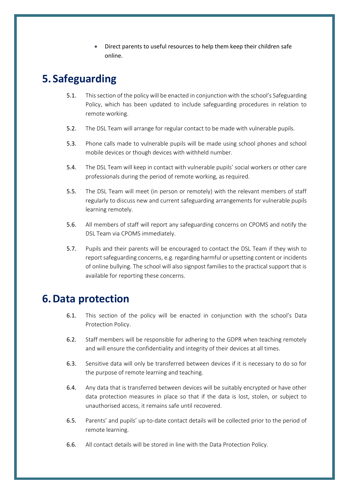• Direct parents to useful resources to help them keep their children safe online.

# <span id="page-9-0"></span>**5. Safeguarding**

- 5.1. This section of the policy will be enacted in conjunction with the school's Safeguarding Policy, which has been updated to include safeguarding procedures in relation to remote working.
- 5.2. The DSL Team will arrange for regular contact to be made with vulnerable pupils.
- 5.3. Phone calls made to vulnerable pupils will be made using school phones and school mobile devices or though devices with withheld number.
- 5.4. The DSL Team will keep in contact with vulnerable pupils' social workers or other care professionals during the period of remote working, as required.
- 5.5. The DSL Team will meet (in person or remotely) with the relevant members of staff regularly to discuss new and current safeguarding arrangements for vulnerable pupils learning remotely.
- 5.6. All members of staff will report any safeguarding concerns on CPOMS and notify the DSL Team via CPOMS immediately.
- 5.7. Pupils and their parents will be encouraged to contact the DSL Team if they wish to report safeguarding concerns, e.g. regarding harmful or upsetting content or incidents of online bullying. The school will also signpost families to the practical support that is available for reporting these concerns.

## <span id="page-9-1"></span>**6.Data protection**

- 6.1. This section of the policy will be enacted in conjunction with the school's Data Protection Policy.
- 6.2. Staff members will be responsible for adhering to the GDPR when teaching remotely and will ensure the confidentiality and integrity of their devices at all times.
- 6.3. Sensitive data will only be transferred between devices if it is necessary to do so for the purpose of remote learning and teaching.
- 6.4. Any data that is transferred between devices will be suitably encrypted or have other data protection measures in place so that if the data is lost, stolen, or subject to unauthorised access, it remains safe until recovered.
- 6.5. Parents' and pupils' up-to-date contact details will be collected prior to the period of remote learning.
- 6.6. All contact details will be stored in line with the Data Protection Policy.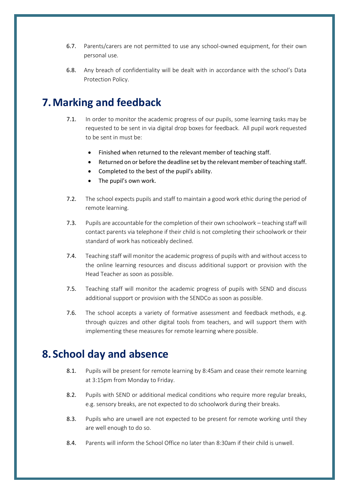- 6.7. Parents/carers are not permitted to use any school-owned equipment, for their own personal use.
- 6.8. Any breach of confidentiality will be dealt with in accordance with the school's Data Protection Policy.

# **7.Marking and feedback**

- 7.1. In order to monitor the academic progress of our pupils, some learning tasks may be requested to be sent in via digital drop boxes for feedback. All pupil work requested to be sent in must be:
	- Finished when returned to the relevant member of teaching staff.
	- Returned on or before the deadline set by the relevant member of teaching staff.
	- Completed to the best of the pupil's ability.
	- The pupil's own work.
- 7.2. The school expects pupils and staff to maintain a good work ethic during the period of remote learning.
- 7.3. Pupils are accountable for the completion of their own schoolwork teaching staff will contact parents via telephone if their child is not completing their schoolwork or their standard of work has noticeably declined.
- 7.4. Teaching staff will monitor the academic progress of pupils with and without access to the online learning resources and discuss additional support or provision with the Head Teacher as soon as possible.
- 7.5. Teaching staff will monitor the academic progress of pupils with SEND and discuss additional support or provision with the SENDCo as soon as possible.
- 7.6. The school accepts a variety of formative assessment and feedback methods, e.g. through quizzes and other digital tools from teachers, and will support them with implementing these measures for remote learning where possible.

## <span id="page-10-1"></span><span id="page-10-0"></span>**8. School day and absence**

- 8.1. Pupils will be present for remote learning by 8:45am and cease their remote learning at 3:15pm from Monday to Friday.
- <span id="page-10-2"></span>8.2. Pupils with SEND or additional medical conditions who require more regular breaks, e.g. sensory breaks, are not expected to do schoolwork during their breaks.
- 8.3. Pupils who are unwell are not expected to be present for remote working until they are well enough to do so.
- <span id="page-10-3"></span>8.4. Parents will inform the School Office no later than 8:30am if their child is unwell.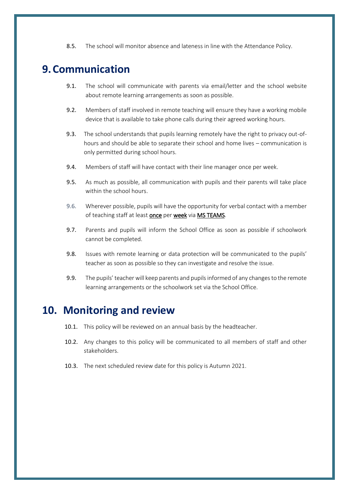8.5. The school will monitor absence and lateness in line with the Attendance Policy.

## <span id="page-11-0"></span>**9.Communication**

- 9.1. The school will communicate with parents via email/letter and the school website about remote learning arrangements as soon as possible.
- 9.2. Members of staff involved in remote teaching will ensure they have a working mobile device that is available to take phone calls during their agreed working hours.
- 9.3. The school understands that pupils learning remotely have the right to privacy out-ofhours and should be able to separate their school and home lives – communication is only permitted during school hours.
- 9.4. Members of staff will have contact with their line manager once per week.
- 9.5. As much as possible, all communication with pupils and their parents will take place within the school hours.
- 9.6. Wherever possible, pupils will have the opportunity for verbal contact with a member of teaching staff at least once per week via MS TEAMS.
- 9.7. Parents and pupils will inform the School Office as soon as possible if schoolwork cannot be completed.
- 9.8. Issues with remote learning or data protection will be communicated to the pupils' teacher as soon as possible so they can investigate and resolve the issue.
- 9.9. The pupils' teacher will keep parents and pupils informed of any changes to the remote learning arrangements or the schoolwork set via the School Office.

## <span id="page-11-1"></span>**10. Monitoring and review**

- 10.1. This policy will be reviewed on an annual basis by the headteacher.
- 10.2. Any changes to this policy will be communicated to all members of staff and other stakeholders.
- 10.3. The next scheduled review date for this policy is Autumn 2021.